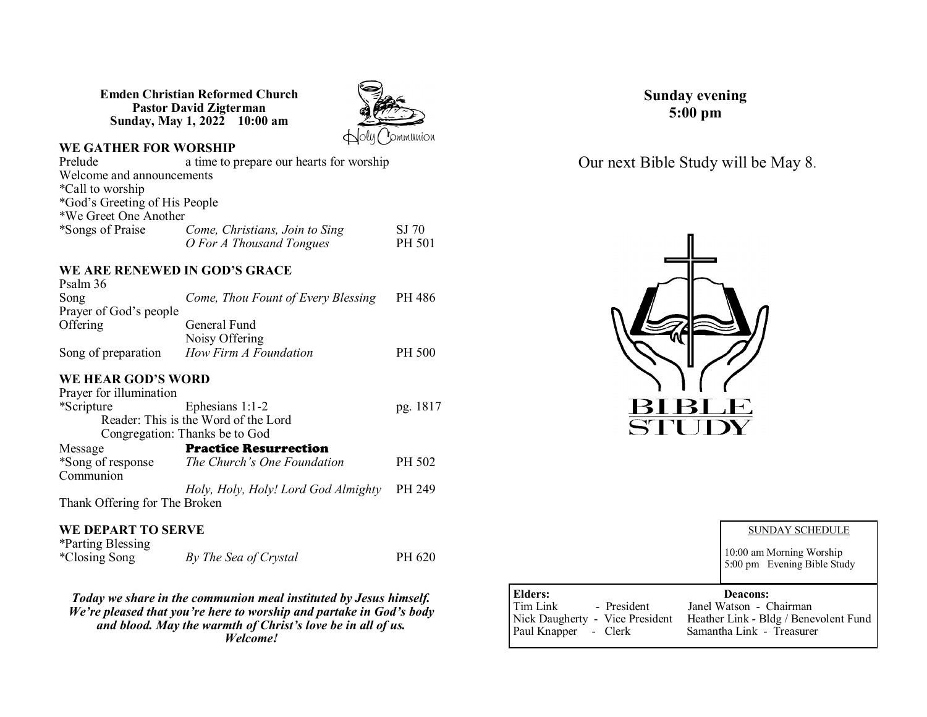**Emden Christian Reformed Church Pastor David Zigterman Sunday, May 1, 2022 10:00 am**



# **WE GATHER FOR WORSHIP**<br>Prelude a time to p

a time to prepare our hearts for worship Welcome and announcements \*Call to worship \*God's Greeting of His People \*We Greet One Another <sup>C</sup> Come, Christians, Join to Sing SJ 70<br>
O For A Thousand Tongues PH 501  $O$ *For A Thousand Tongues* 

#### **WE ARE RENEWED IN GOD'S GRACE**   $P_1$  36

| Psalm 36               |                                    |        |
|------------------------|------------------------------------|--------|
| Song                   | Come, Thou Fount of Every Blessing | PH 486 |
| Prayer of God's people |                                    |        |
| Offering               | General Fund                       |        |
|                        | Noisy Offering                     |        |
| Song of preparation    | How Firm A Foundation              | PH 500 |

#### **WE HEAR GOD'S WORD**

| Prayer for illumination       |                                      |          |
|-------------------------------|--------------------------------------|----------|
| *Scripture                    | Ephesians $1:1-2$                    | pg. 1817 |
|                               | Reader: This is the Word of the Lord |          |
|                               | Congregation: Thanks be to God       |          |
| Message                       | <b>Practice Resurrection</b>         |          |
| *Song of response             | The Church's One Foundation          | PH 502   |
| Communion                     |                                      |          |
|                               | Holy, Holy, Holy! Lord God Almighty  | PH 249   |
| Thank Offering for The Broken |                                      |          |
|                               |                                      |          |

#### **WE DEPART TO SERVE**

| *Parting Blessing |                       |        |
|-------------------|-----------------------|--------|
| *Closing Song     | By The Sea of Crystal | PH 620 |

*Today we share in the communion meal instituted by Jesus himself. We're pleased that you're here to worship and partake in God's body and blood. May the warmth of Christ's love be in all of us. Welcome!*

**Sunday evening 5:00 pm**

Our next Bible Study will be May 8.



|                                                                                                  | <b>SUNDAY SCHEDULE</b><br>10:00 am Morning Worship<br>5:00 pm Evening Bible Study                                |
|--------------------------------------------------------------------------------------------------|------------------------------------------------------------------------------------------------------------------|
| Elders:<br>Tim Link<br>- President<br>Nick Daugherty - Vice President<br>Paul Knapper<br>- Clerk | <b>Deacons:</b><br>Janel Watson - Chairman<br>Heather Link - Bldg / Benevolent Fund<br>Samantha Link - Treasurer |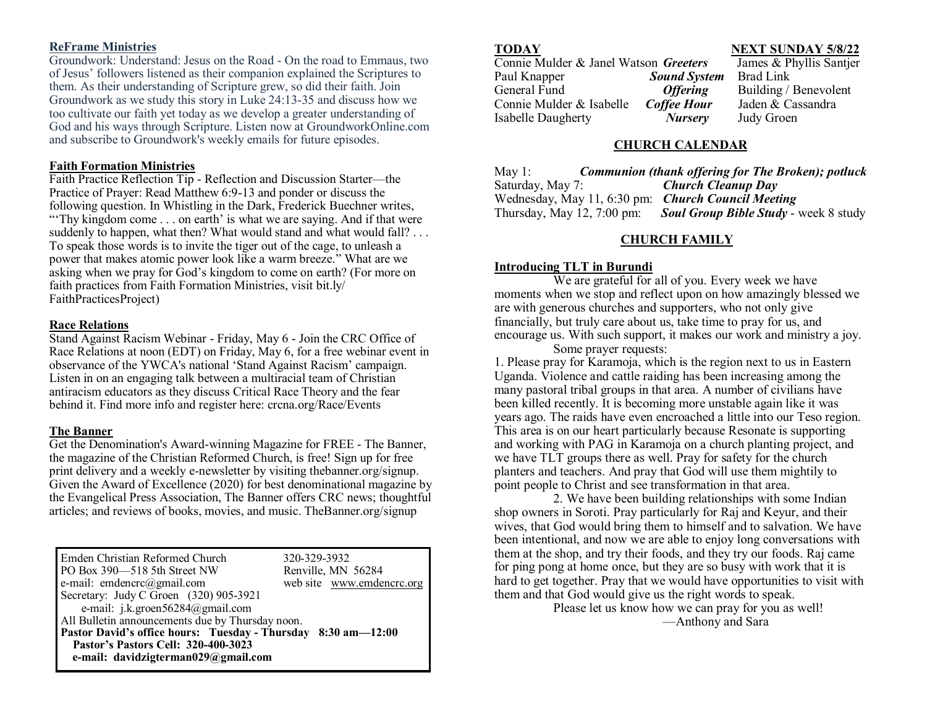#### **ReFrame Ministries**

Groundwork: Understand: Jesus on the Road - On the road to Emmaus, two of Jesus' followers listened as their companion explained the Scriptures to them. As their understanding of Scripture grew, so did their faith. Join Groundwork as we study this story in Luke 24:13-35 and discuss how we too cultivate our faith yet today as we develop a greater understanding of God and his ways through Scripture. Listen now at GroundworkOnline.com and subscribe to Groundwork's weekly emails for future episodes.

#### **Faith Formation Ministries**

Faith Practice Reflection Tip - Reflection and Discussion Starter—the Practice of Prayer: Read Matthew 6:9-13 and ponder or discuss the following question. In Whistling in the Dark, Frederick Buechner writes, "Thy kingdom come . . . on earth' is what we are saying. And if that were suddenly to happen, what then? What would stand and what would fall? . . . To speak those words is to invite the tiger out of the cage, to unleash a power that makes atomic power look like a warm breeze." What are we asking when we pray for God's kingdom to come on earth? (For more on faith practices from Faith Formation Ministries, visit bit.ly/ FaithPracticesProject)

#### **Race Relations**

Stand Against Racism Webinar - Friday, May 6 - Join the CRC Office of Race Relations at noon (EDT) on Friday, May 6, for a free webinar event in observance of the YWCA's national 'Stand Against Racism' campaign. Listen in on an engaging talk between a multiracial team of Christian antiracism educators as they discuss Critical Race Theory and the fear behind it. Find more info and register here: crcna.org/Race/Events

#### **The Banner**

Get the Denomination's Award-winning Magazine for FREE - The Banner, the magazine of the Christian Reformed Church, is free! Sign up for free print delivery and a weekly e-newsletter by visiting thebanner.org/signup. Given the Award of Excellence (2020) for best denominational magazine by the Evangelical Press Association, The Banner offers CRC news; thoughtful articles; and reviews of books, movies, and music. TheBanner.org/signup

| Emden Christian Reformed Church<br>PO Box 390-518 5th Street NW  | 320-329-3932<br>Renville, MN 56284 |  |
|------------------------------------------------------------------|------------------------------------|--|
| e-mail: emdencrc $(a)$ gmail.com                                 | web site www.emdencrc.org          |  |
| Secretary: Judy C Groen (320) 905-3921                           |                                    |  |
| e-mail: j.k.groen56284@gmail.com                                 |                                    |  |
| All Bulletin announcements due by Thursday noon.                 |                                    |  |
| Pastor David's office hours: Tuesday - Thursday 8:30 am -- 12:00 |                                    |  |
| Pastor's Pastors Cell: 320-400-3023                              |                                    |  |
| e-mail: davidzigterman029@gmail.com                              |                                    |  |

**TODAY**<br>
Connie Mulder & Janel Watson *Greeters* James & Phyllis Santjer Connie Mulder & Janel Watson *Greeters* Paul Knapper *Sound System* Brad Link General Fund *Offering* Building / Benevolent Connie Mulder & Isabelle *Coffee Hour* Jaden & Cassandra Isabelle Daugherty *Nursery* Judy Groen

#### **CHURCH CALENDAR**

| May 1:                                                    | <b>Communion (thank offering for The Broken); potluck</b> |
|-----------------------------------------------------------|-----------------------------------------------------------|
| Saturday, May 7:                                          | Church Cleanup Day                                        |
| Wednesday, May 11, 6:30 pm: <i>Church Council Meeting</i> |                                                           |
| Thursday, May $12, 7:00$ pm:                              | <b>Soul Group Bible Study - week 8 study</b>              |

#### **CHURCH FAMILY**

#### **Introducing TLT in Burundi**

We are grateful for all of you. Every week we have moments when we stop and reflect upon on how amazingly blessed we are with generous churches and supporters, who not only give financially, but truly care about us, take time to pray for us, and encourage us. With such support, it makes our work and ministry a joy.

#### Some prayer requests:

1. Please pray for Karamoja, which is the region next to us in Eastern Uganda. Violence and cattle raiding has been increasing among the many pastoral tribal groups in that area. A number of civilians have been killed recently. It is becoming more unstable again like it was years ago. The raids have even encroached a little into our Teso region. This area is on our heart particularly because Resonate is supporting and working with PAG in Karamoja on a church planting project, and we have TLT groups there as well. Pray for safety for the church planters and teachers. And pray that God will use them mightily to point people to Christ and see transformation in that area.

2. We have been building relationships with some Indian shop owners in Soroti. Pray particularly for Raj and Keyur, and their wives, that God would bring them to himself and to salvation. We have been intentional, and now we are able to enjoy long conversations with them at the shop, and try their foods, and they try our foods. Raj came for ping pong at home once, but they are so busy with work that it is hard to get together. Pray that we would have opportunities to visit with them and that God would give us the right words to speak.

Please let us know how we can pray for you as well! —Anthony and Sara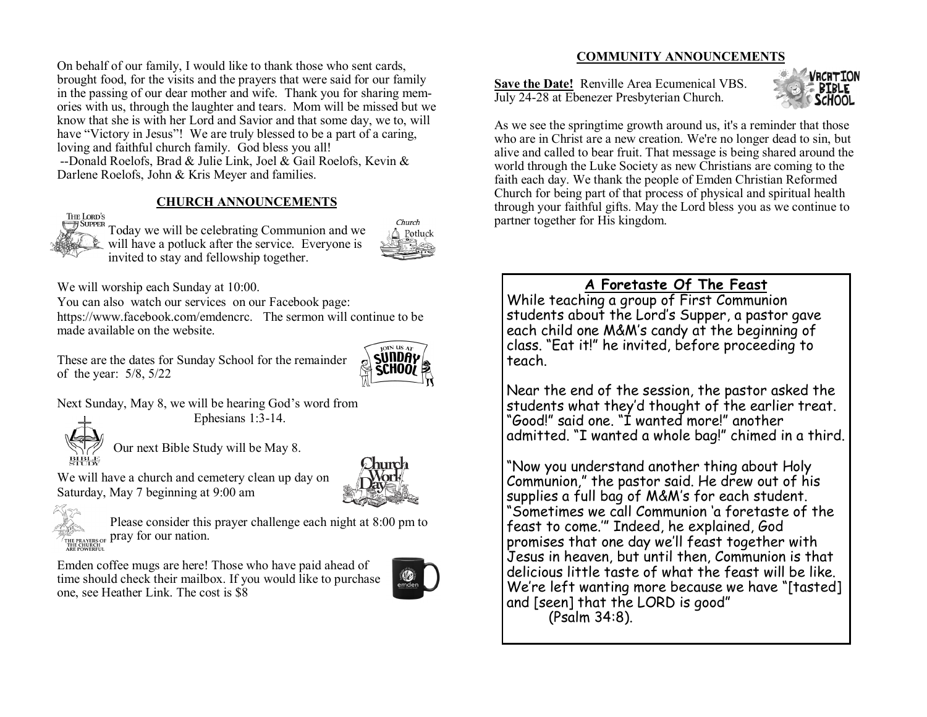On behalf of our family, I would like to thank those who sent cards, brought food, for the visits and the prayers that were said for our family in the passing of our dear mother and wife. Thank you for sharing memories with us, through the laughter and tears. Mom will be missed but we know that she is with her Lord and Savior and that some day, we to, will have "Victory in Jesus"! We are truly blessed to be a part of a caring, loving and faithful church family. God bless you all! --Donald Roelofs, Brad & Julie Link, Joel & Gail Roelofs, Kevin &

Darlene Roelofs, John & Kris Meyer and families.

### **CHURCH ANNOUNCEMENTS**



Today we will be celebrating Communion and we will have a potluck after the service. Everyone is invited to stay and fellowship together.



We will worship each Sunday at 10:00.

You can also watch our services on our Facebook page:

https://www.facebook.com/emdencrc. The sermon will continue to be made available on the website.

These are the dates for Sunday School for the remainder of the year: 5/8, 5/22



Next Sunday, May 8, we will be hearing God's word from Ephesians 1:3-14.



Our next Bible Study will be May 8.



We will have a church and cemetery clean up day on Saturday, May 7 beginning at 9:00 am



Please consider this prayer challenge each night at 8:00 pm to THE PRAYERS OF **Draw for Our nation.** 

Emden coffee mugs are here! Those who have paid ahead of time should check their mailbox. If you would like to purchase one, see Heather Link. The cost is \$8



### **COMMUNITY ANNOUNCEMENTS**

**Save the Date!** Renville Area Ecumenical VBS. July 24-28 at Ebenezer Presbyterian Church.



As we see the springtime growth around us, it's a reminder that those who are in Christ are a new creation. We're no longer dead to sin, but alive and called to bear fruit. That message is being shared around the world through the Luke Society as new Christians are coming to the faith each day. We thank the people of Emden Christian Reformed Church for being part of that process of physical and spiritual health through your faithful gifts. May the Lord bless you as we continue to partner together for His kingdom.

## **A Foretaste Of The Feast**

While teaching a group of First Communion students about the Lord's Supper, a pastor gave each child one M&M's candy at the beginning of class. "Eat it!" he invited, before proceeding to teach.

Near the end of the session, the pastor asked the students what they'd thought of the earlier treat. "Good!" said one. "I wanted more!" another admitted. "I wanted a whole bag!" chimed in a third.

"Now you understand another thing about Holy Communion," the pastor said. He drew out of his supplies a full bag of M&M's for each student. "Sometimes we call Communion 'a foretaste of the feast to come.'" Indeed, he explained, God promises that one day we'll feast together with Jesus in heaven, but until then, Communion is that delicious little taste of what the feast will be like. We're left wanting more because we have "[tasted] and [seen] that the LORD is good" (Psalm 34:8).